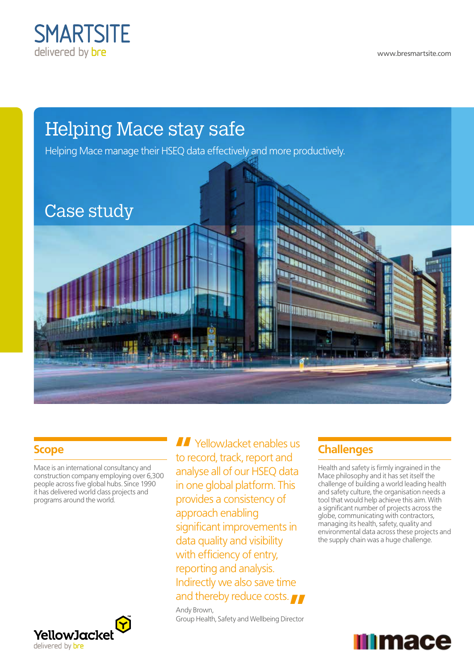

www.bresmartsite.com



#### **Scope**

Mace is an international consultancy and construction company employing over 6,300 people across five global hubs. Since 1990 it has delivered world class projects and programs around the world.



**II** YellowJacket enables us to record, track, report and analyse all of our HSEQ data in one global platform. This provides a consistency of approach enabling significant improvements in data quality and visibility with efficiency of entry, reporting and analysis. Indirectly we also save time and thereby reduce costs. Andy Brown,

Group Health, Safety and Wellbeing Director

## **Challenges**

Health and safety is firmly ingrained in the Mace philosophy and it has set itself the challenge of building a world leading health and safety culture, the organisation needs a tool that would help achieve this aim. With a significant number of projects across the globe, communicating with contractors, managing its health, safety, quality and environmental data across these projects and the supply chain was a huge challenge.